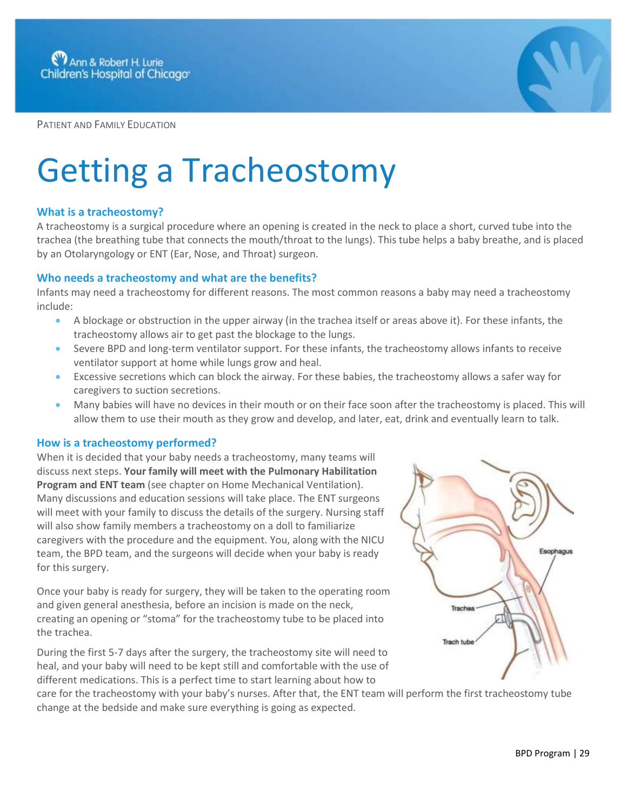

PATIENT AND FAMILY EDUCATION

# Getting a Tracheostomy

## **What is a tracheostomy?**

A tracheostomy is a surgical procedure where an opening is created in the neck to place a short, curved tube into the trachea (the breathing tube that connects the mouth/throat to the lungs). This tube helps a baby breathe, and is placed by an Otolaryngology or ENT (Ear, Nose, and Throat) surgeon.

# **Who needs a tracheostomy and what are the benefits?**

Infants may need a tracheostomy for different reasons. The most common reasons a baby may need a tracheostomy include:

- A blockage or obstruction in the upper airway (in the trachea itself or areas above it). For these infants, the tracheostomy allows air to get past the blockage to the lungs.
- Severe BPD and long-term ventilator support. For these infants, the tracheostomy allows infants to receive ventilator support at home while lungs grow and heal.
- Excessive secretions which can block the airway. For these babies, the tracheostomy allows a safer way for caregivers to suction secretions.
- Many babies will have no devices in their mouth or on their face soon after the tracheostomy is placed. This will allow them to use their mouth as they grow and develop, and later, eat, drink and eventually learn to talk.

#### **How is a tracheostomy performed?**

When it is decided that your baby needs a tracheostomy, many teams will discuss next steps. **Your family will meet with the Pulmonary Habilitation Program and ENT team** (see chapter on Home Mechanical Ventilation). Many discussions and education sessions will take place. The ENT surgeons will meet with your family to discuss the details of the surgery. Nursing staff will also show family members a tracheostomy on a doll to familiarize caregivers with the procedure and the equipment. You, along with the NICU team, the BPD team, and the surgeons will decide when your baby is ready for this surgery.

Once your baby is ready for surgery, they will be taken to the operating room and given general anesthesia, before an incision is made on the neck, creating an opening or "stoma" for the tracheostomy tube to be placed into the trachea.

During the first 5-7 days after the surgery, the tracheostomy site will need to heal, and your baby will need to be kept still and comfortable with the use of different medications. This is a perfect time to start learning about how to

Esophagus Trachea **Trach tube** 

care for the tracheostomy with your baby's nurses. After that, the ENT team will perform the first tracheostomy tube change at the bedside and make sure everything is going as expected.